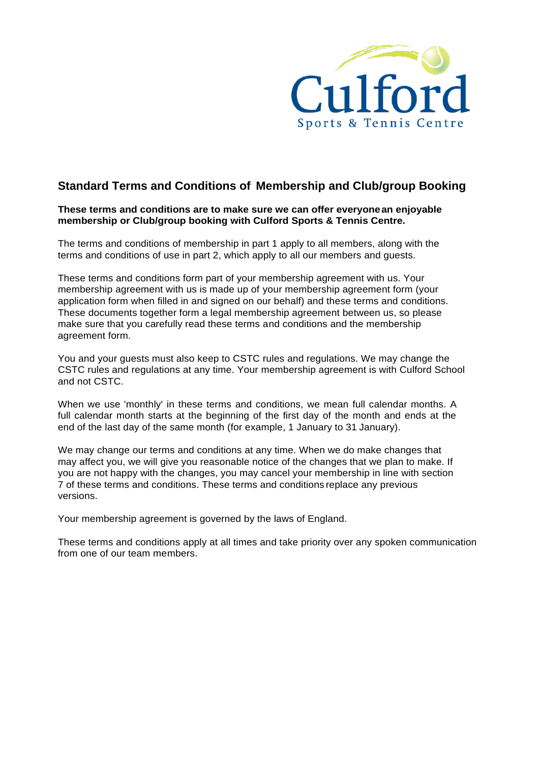

# **Standard Terms and Conditions of Membership and Club/group Booking**

### **These terms and conditions are to make sure we can offer everyonean enjoyable membership or Club/group booking with Culford Sports & Tennis Centre.**

The terms and conditions of membership in part 1 apply to all members, along with the terms and conditions of use in part 2, which apply to all our members and guests.

These terms and conditions form part of your membership agreement with us. Your membership agreement with us is made up of your membership agreement form (your application form when filled in and signed on our behalf) and these terms and conditions. These documents together form a legal membership agreement between us, so please make sure that you carefully read these terms and conditions and the membership agreement form.

You and your guests must also keep to CSTC rules and regulations. We may change the CSTC rules and regulations at any time. Your membership agreement is with Culford School and not CSTC.

When we use 'monthly' in these terms and conditions, we mean full calendar months. A full calendar month starts at the beginning of the first day of the month and ends at the end of the last day of the same month (for example, 1 January to 31 January).

We may change our terms and conditions at any time. When we do make changes that may affect you, we will give you reasonable notice of the changes that we plan to make. If you are not happy with the changes, you may cancel your membership in line with section 7 of these terms and conditions. These terms and conditions replace any previous versions.

Your membership agreement is governed by the laws of England.

These terms and conditions apply at all times and take priority over any spoken communication from one of our team members.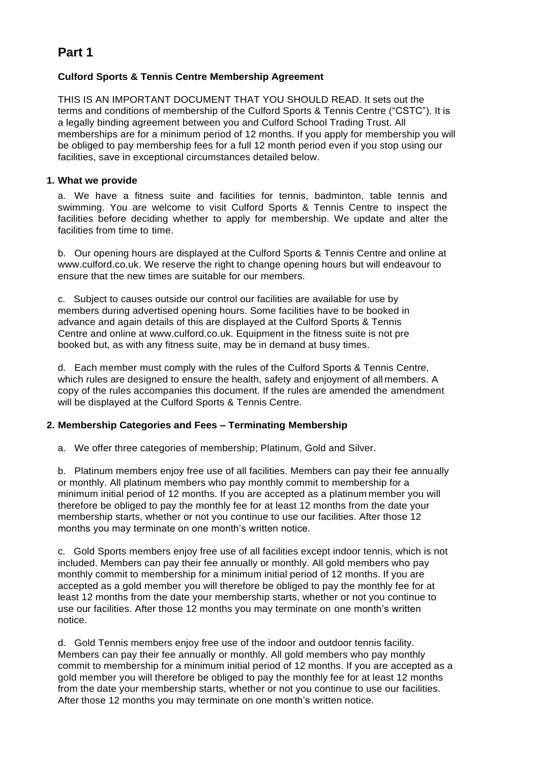# **Part 1**

## **Culford Sports & Tennis Centre Membership Agreement**

THIS IS AN IMPORTANT DOCUMENT THAT YOU SHOULD READ. It sets out the terms and conditions of membership of the Culford Sports & Tennis Centre ("CSTC"). It is a legally binding agreement between you and Culford School Trading Trust. All memberships are for a minimum period of 12 months. If you apply for membership you will be obliged to pay membership fees for a full 12 month period even if you stop using our facilities, save in exceptional circumstances detailed below.

## **1. What we provide**

a. We have a fitness suite and facilities for tennis, badminton, table tennis and swimming. You are welcome to visit Culford Sports & Tennis Centre to inspect the facilities before deciding whether to apply for membership. We update and alter the facilities from time to time.

b. Our opening hours are displayed at the Culford Sports & Tennis Centre and online at [www.culford.co.uk. W](http://www.culford.co.uk/)e reserve the right to change opening hours but will endeavour to ensure that the new times are suitable for our members.

c. Subject to causes outside our control our facilities are available for use by members during advertised opening hours. Some facilities have to be booked in advance and again details of this are displayed at the Culford Sports & Tennis Centre and online at [www.culford.co.uk.](http://www.culford.co.uk/) Equipment in the fitness suite is not pre booked but, as with any fitness suite, may be in demand at busy times.

d. Each member must comply with the rules of the Culford Sports & Tennis Centre, which rules are designed to ensure the health, safety and enjoyment of all members. A copy of the rules accompanies this document. If the rules are amended the amendment will be displayed at the Culford Sports & Tennis Centre.

## **2. Membership Categories and Fees – Terminating Membership**

a. We offer three categories of membership; Platinum, Gold and Silver.

b. Platinum members enjoy free use of all facilities. Members can pay their fee annually or monthly. All platinum members who pay monthly commit to membership for a minimum initial period of 12 months. If you are accepted as a platinum member you will therefore be obliged to pay the monthly fee for at least 12 months from the date your membership starts, whether or not you continue to use our facilities. After those 12 months you may terminate on one month's written notice.

c. Gold Sports members enjoy free use of all facilities except indoor tennis, which is not included. Members can pay their fee annually or monthly. All gold members who pay monthly commit to membership for a minimum initial period of 12 months. If you are accepted as a gold member you will therefore be obliged to pay the monthly fee for at least 12 months from the date your membership starts, whether or not you continue to use our facilities. After those 12 months you may terminate on one month's written notice.

d. Gold Tennis members enjoy free use of the indoor and outdoor tennis facility. Members can pay their fee annually or monthly. All gold members who pay monthly commit to membership for a minimum initial period of 12 months. If you are accepted as a gold member you will therefore be obliged to pay the monthly fee for at least 12 months from the date your membership starts, whether or not you continue to use our facilities. After those 12 months you may terminate on one month's written notice.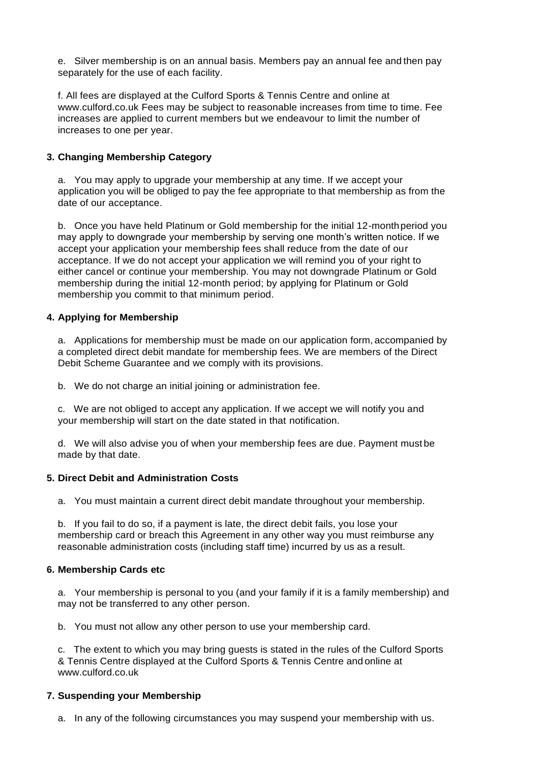e. Silver membership is on an annual basis. Members pay an annual fee and then pay separately for the use of each facility.

f. All fees are displayed at the Culford Sports & Tennis Centre and online at [www.culford.co.uk F](http://www.culford.co.uk/)ees may be subject to reasonable increases from time to time. Fee increases are applied to current members but we endeavour to limit the number of increases to one per year.

## **3. Changing Membership Category**

a. You may apply to upgrade your membership at any time. If we accept your application you will be obliged to pay the fee appropriate to that membership as from the date of our acceptance.

b. Once you have held Platinum or Gold membership for the initial 12-monthperiod you may apply to downgrade your membership by serving one month's written notice. If we accept your application your membership fees shall reduce from the date of our acceptance. If we do not accept your application we will remind you of your right to either cancel or continue your membership. You may not downgrade Platinum or Gold membership during the initial 12-month period; by applying for Platinum or Gold membership you commit to that minimum period.

## **4. Applying for Membership**

a. Applications for membership must be made on our application form, accompanied by a completed direct debit mandate for membership fees. We are members of the Direct Debit Scheme Guarantee and we comply with its provisions.

b. We do not charge an initial joining or administration fee.

c. We are not obliged to accept any application. If we accept we will notify you and your membership will start on the date stated in that notification.

d. We will also advise you of when your membership fees are due. Payment must be made by that date.

## **5. Direct Debit and Administration Costs**

a. You must maintain a current direct debit mandate throughout your membership.

b. If you fail to do so, if a payment is late, the direct debit fails, you lose your membership card or breach this Agreement in any other way you must reimburse any reasonable administration costs (including staff time) incurred by us as a result.

## **6. Membership Cards etc**

a. Your membership is personal to you (and your family if it is a family membership) and may not be transferred to any other person.

b. You must not allow any other person to use your membership card.

c. The extent to which you may bring guests is stated in the rules of the Culford Sports & Tennis Centre displayed at the Culford Sports & Tennis Centre and online at [www.culford.co.uk](http://www.culford.co.uk/)

## **7. Suspending your Membership**

a. In any of the following circumstances you may suspend your membership with us.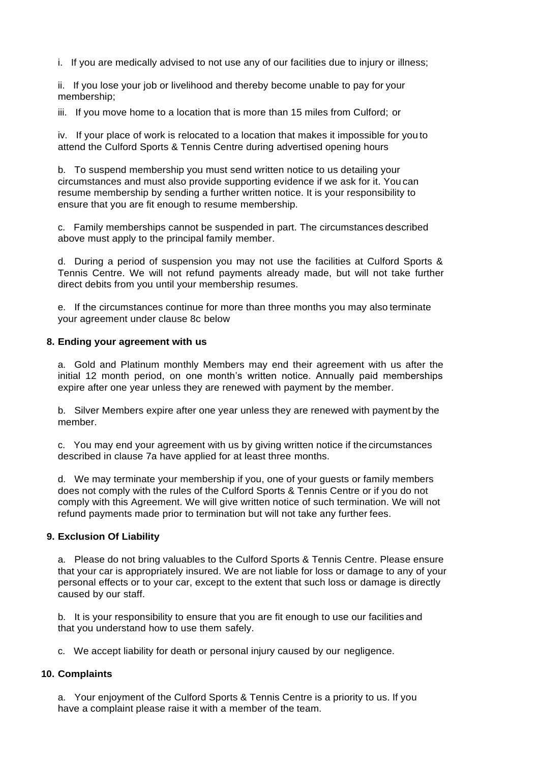i. If you are medically advised to not use any of our facilities due to injury or illness;

ii. If you lose your job or livelihood and thereby become unable to pay for your membership;

iii. If you move home to a location that is more than 15 miles from Culford; or

iv. If your place of work is relocated to a location that makes it impossible for you to attend the Culford Sports & Tennis Centre during advertised opening hours

b. To suspend membership you must send written notice to us detailing your circumstances and must also provide supporting evidence if we ask for it. You can resume membership by sending a further written notice. It is your responsibility to ensure that you are fit enough to resume membership.

c. Family memberships cannot be suspended in part. The circumstances described above must apply to the principal family member.

d. During a period of suspension you may not use the facilities at Culford Sports & Tennis Centre. We will not refund payments already made, but will not take further direct debits from you until your membership resumes.

e. If the circumstances continue for more than three months you may also terminate your agreement under clause 8c below

#### **8. Ending your agreement with us**

a. Gold and Platinum monthly Members may end their agreement with us after the initial 12 month period, on one month's written notice. Annually paid memberships expire after one year unless they are renewed with payment by the member.

b. Silver Members expire after one year unless they are renewed with payment by the member.

c. You may end your agreement with us by giving written notice if the circumstances described in clause 7a have applied for at least three months.

d. We may terminate your membership if you, one of your guests or family members does not comply with the rules of the Culford Sports & Tennis Centre or if you do not comply with this Agreement. We will give written notice of such termination. We will not refund payments made prior to termination but will not take any further fees.

#### **9. Exclusion Of Liability**

a. Please do not bring valuables to the Culford Sports & Tennis Centre. Please ensure that your car is appropriately insured. We are not liable for loss or damage to any of your personal effects or to your car, except to the extent that such loss or damage is directly caused by our staff.

b. It is your responsibility to ensure that you are fit enough to use our facilities and that you understand how to use them safely.

c. We accept liability for death or personal injury caused by our negligence.

## **10. Complaints**

a. Your enjoyment of the Culford Sports & Tennis Centre is a priority to us. If you have a complaint please raise it with a member of the team.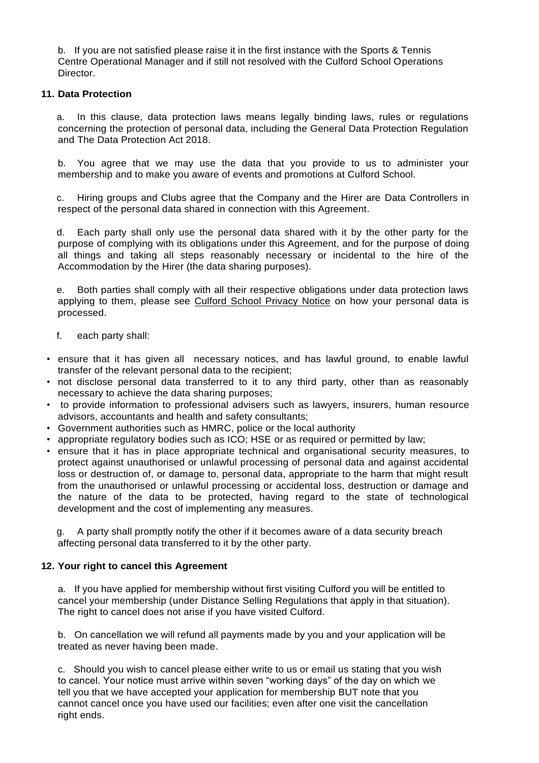b. If you are not satisfied please raise it in the first instance with the Sports & Tennis Centre Operational Manager and if still not resolved with the Culford School Operations Director.

#### **11. Data Protection**

a. In this clause, data protection laws means legally binding laws, rules or regulations concerning the protection of personal data, including the General Data Protection Regulation and The Data Protection Act 2018.

b. You agree that we may use the data that you provide to us to administer your membership and to make you aware of events and promotions at Culford School.

c. Hiring groups and Clubs agree that the Company and the Hirer are Data Controllers in respect of the personal data shared in connection with this Agreement.

d. Each party shall only use the personal data shared with it by the other party for the purpose of complying with its obligations under this Agreement, and for the purpose of doing all things and taking all steps reasonably necessary or incidental to the hire of the Accommodation by the Hirer (the data sharing purposes).

e. Both parties shall comply with all their respective obligations under data protection laws applying to them, please see [Culford School Privacy Notice](https://www.hsl.gov.uk/media/187048/unison11192.pdf) on how your personal data is processed.

- f. each party shall:
- ensure that it has given all necessary notices, and has lawful ground, to enable lawful transfer of the relevant personal data to the recipient;
- not disclose personal data transferred to it to any third party, other than as reasonably necessary to achieve the data sharing purposes;
- to provide information to professional advisers such as lawyers, insurers, human resource advisors, accountants and health and safety consultants;
- Government authorities such as HMRC, police or the local authority
- appropriate regulatory bodies such as ICO; HSE or as required or permitted by law;
- ensure that it has in place appropriate technical and organisational security measures, to protect against unauthorised or unlawful processing of personal data and against accidental loss or destruction of, or damage to, personal data, appropriate to the harm that might result from the unauthorised or unlawful processing or accidental loss, destruction or damage and the nature of the data to be protected, having regard to the state of technological development and the cost of implementing any measures.

g. A party shall promptly notify the other if it becomes aware of a data security breach affecting personal data transferred to it by the other party.

#### **12. Your right to cancel this Agreement**

a. If you have applied for membership without first visiting Culford you will be entitled to cancel your membership (under Distance Selling Regulations that apply in that situation). The right to cancel does not arise if you have visited Culford.

b. On cancellation we will refund all payments made by you and your application will be treated as never having been made.

c. Should you wish to cancel please either write to us or email us stating that you wish to cancel. Your notice must arrive within seven "working days" of the day on which we tell you that we have accepted your application for membership BUT note that you cannot cancel once you have used our facilities; even after one visit the cancellation right ends.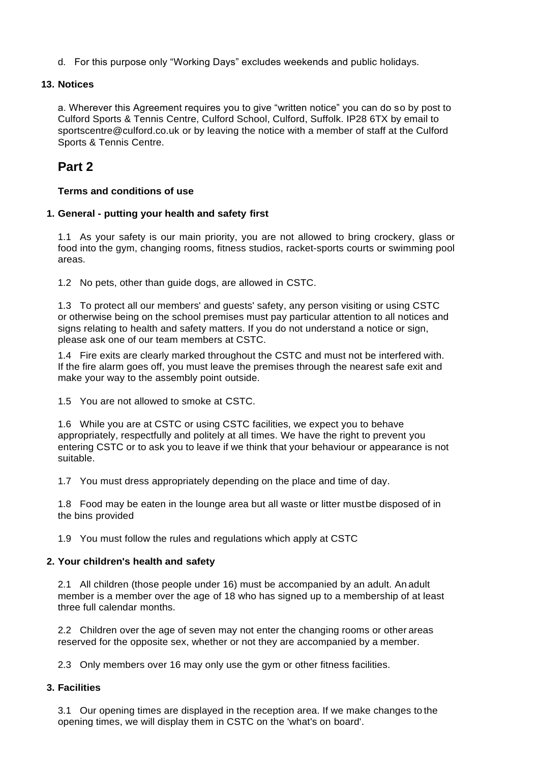d. For this purpose only "Working Days" excludes weekends and public holidays.

## **13. Notices**

a. Wherever this Agreement requires you to give "written notice" you can do so by post to Culford Sports & Tennis Centre, Culford School, Culford, Suffolk. IP28 6TX by email to [sportscentre@culford.co.uk o](mailto:sportscentre@culford.co.uk)r by leaving the notice with a member of staff at the Culford Sports & Tennis Centre.

# **Part 2**

## **Terms and conditions of use**

## **1. General - putting your health and safety first**

1.1 As your safety is our main priority, you are not allowed to bring crockery, glass or food into the gym, changing rooms, fitness studios, racket-sports courts or swimming pool areas.

1.2 No pets, other than guide dogs, are allowed in CSTC.

1.3 To protect all our members' and guests' safety, any person visiting or using CSTC or otherwise being on the school premises must pay particular attention to all notices and signs relating to health and safety matters. If you do not understand a notice or sign, please ask one of our team members at CSTC.

1.4 Fire exits are clearly marked throughout the CSTC and must not be interfered with. If the fire alarm goes off, you must leave the premises through the nearest safe exit and make your way to the assembly point outside.

1.5 You are not allowed to smoke at CSTC.

1.6 While you are at CSTC or using CSTC facilities, we expect you to behave appropriately, respectfully and politely at all times. We have the right to prevent you entering CSTC or to ask you to leave if we think that your behaviour or appearance is not suitable.

1.7 You must dress appropriately depending on the place and time of day.

1.8 Food may be eaten in the lounge area but all waste or litter mustbe disposed of in the bins provided

1.9 You must follow the rules and regulations which apply at CSTC

## **2. Your children's health and safety**

2.1 All children (those people under 16) must be accompanied by an adult. An adult member is a member over the age of 18 who has signed up to a membership of at least three full calendar months.

2.2 Children over the age of seven may not enter the changing rooms or other areas reserved for the opposite sex, whether or not they are accompanied by a member.

2.3 Only members over 16 may only use the gym or other fitness facilities.

## **3. Facilities**

3.1 Our opening times are displayed in the reception area. If we make changes to the opening times, we will display them in CSTC on the 'what's on board'.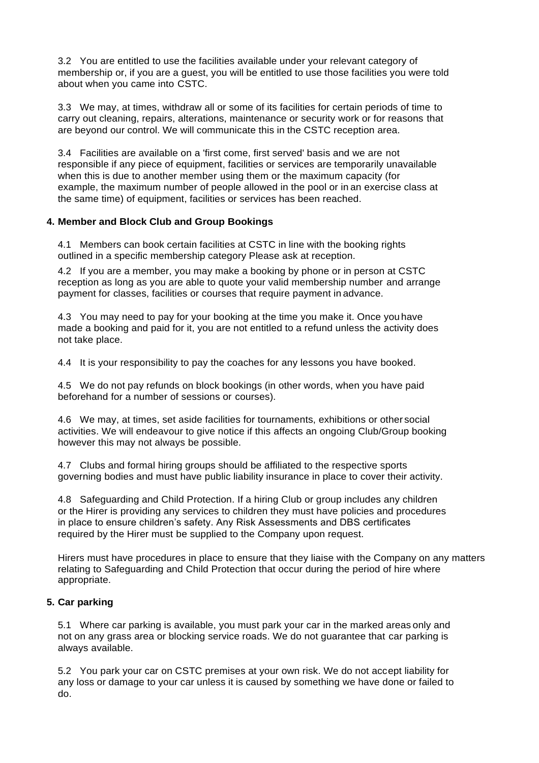3.2 You are entitled to use the facilities available under your relevant category of membership or, if you are a guest, you will be entitled to use those facilities you were told about when you came into CSTC.

3.3 We may, at times, withdraw all or some of its facilities for certain periods of time to carry out cleaning, repairs, alterations, maintenance or security work or for reasons that are beyond our control. We will communicate this in the CSTC reception area.

3.4 Facilities are available on a 'first come, first served' basis and we are not responsible if any piece of equipment, facilities or services are temporarily unavailable when this is due to another member using them or the maximum capacity (for example, the maximum number of people allowed in the pool or in an exercise class at the same time) of equipment, facilities or services has been reached.

## **4. Member and Block Club and Group Bookings**

4.1 Members can book certain facilities at CSTC in line with the booking rights outlined in a specific membership category Please ask at reception.

4.2 If you are a member, you may make a booking by phone or in person at CSTC reception as long as you are able to quote your valid membership number and arrange payment for classes, facilities or courses that require payment in advance.

4.3 You may need to pay for your booking at the time you make it. Once youhave made a booking and paid for it, you are not entitled to a refund unless the activity does not take place.

4.4 It is your responsibility to pay the coaches for any lessons you have booked.

4.5 We do not pay refunds on block bookings (in other words, when you have paid beforehand for a number of sessions or courses).

4.6 We may, at times, set aside facilities for tournaments, exhibitions or other social activities. We will endeavour to give notice if this affects an ongoing Club/Group booking however this may not always be possible.

4.7 Clubs and formal hiring groups should be affiliated to the respective sports governing bodies and must have public liability insurance in place to cover their activity.

4.8 Safeguarding and Child Protection. If a hiring Club or group includes any children or the Hirer is providing any services to children they must have policies and procedures in place to ensure children's safety. Any Risk Assessments and DBS certificates required by the Hirer must be supplied to the Company upon request.

Hirers must have procedures in place to ensure that they liaise with the Company on any matters relating to Safeguarding and Child Protection that occur during the period of hire where appropriate.

## **5. Car parking**

5.1 Where car parking is available, you must park your car in the marked areas only and not on any grass area or blocking service roads. We do not guarantee that car parking is always available.

5.2 You park your car on CSTC premises at your own risk. We do not accept liability for any loss or damage to your car unless it is caused by something we have done or failed to do.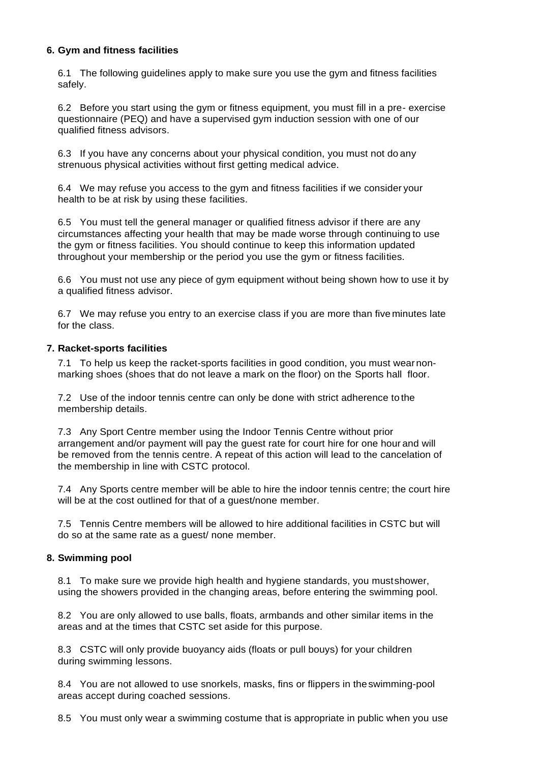#### **6. Gym and fitness facilities**

6.1 The following guidelines apply to make sure you use the gym and fitness facilities safely.

6.2 Before you start using the gym or fitness equipment, you must fill in a pre- exercise questionnaire (PEQ) and have a supervised gym induction session with one of our qualified fitness advisors.

6.3 If you have any concerns about your physical condition, you must not do any strenuous physical activities without first getting medical advice.

6.4 We may refuse you access to the gym and fitness facilities if we consider your health to be at risk by using these facilities.

6.5 You must tell the general manager or qualified fitness advisor if there are any circumstances affecting your health that may be made worse through continuing to use the gym or fitness facilities. You should continue to keep this information updated throughout your membership or the period you use the gym or fitness facilities.

6.6 You must not use any piece of gym equipment without being shown how to use it by a qualified fitness advisor.

6.7 We may refuse you entry to an exercise class if you are more than five minutes late for the class.

#### **7. Racket-sports facilities**

7.1 To help us keep the racket-sports facilities in good condition, you must wear nonmarking shoes (shoes that do not leave a mark on the floor) on the Sports hall floor.

7.2 Use of the indoor tennis centre can only be done with strict adherence to the membership details.

7.3 Any Sport Centre member using the Indoor Tennis Centre without prior arrangement and/or payment will pay the guest rate for court hire for one hour and will be removed from the tennis centre. A repeat of this action will lead to the cancelation of the membership in line with CSTC protocol.

7.4 Any Sports centre member will be able to hire the indoor tennis centre; the court hire will be at the cost outlined for that of a guest/none member.

7.5 Tennis Centre members will be allowed to hire additional facilities in CSTC but will do so at the same rate as a guest/ none member.

#### **8. Swimming pool**

8.1 To make sure we provide high health and hygiene standards, you mustshower, using the showers provided in the changing areas, before entering the swimming pool.

8.2 You are only allowed to use balls, floats, armbands and other similar items in the areas and at the times that CSTC set aside for this purpose.

8.3 CSTC will only provide buoyancy aids (floats or pull bouys) for your children during swimming lessons.

8.4 You are not allowed to use snorkels, masks, fins or flippers in theswimming-pool areas accept during coached sessions.

8.5 You must only wear a swimming costume that is appropriate in public when you use